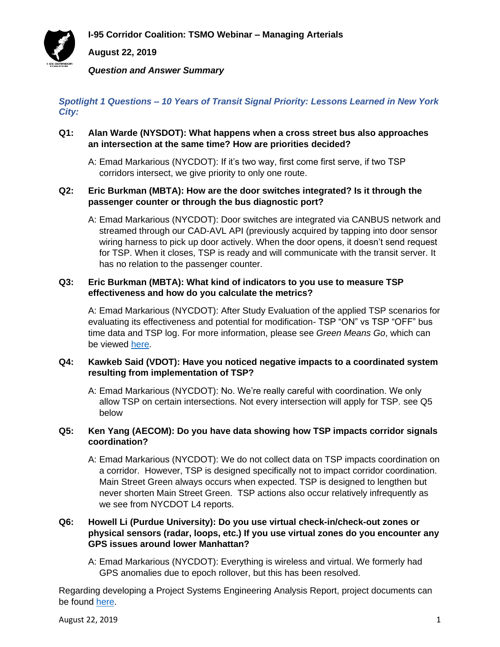**I-95 Corridor Coalition: TSMO Webinar – Managing Arterials**



**August 22, 2019**

*Question and Answer Summary*

*Spotlight 1 Questions – 10 Years of Transit Signal Priority: Lessons Learned in New York City:*

- **Q1: Alan Warde (NYSDOT): What happens when a cross street bus also approaches an intersection at the same time? How are priorities decided?**
	- A: Emad Markarious (NYCDOT): If it's two way, first come first serve, if two TSP corridors intersect, we give priority to only one route.

## **Q2: Eric Burkman (MBTA): How are the door switches integrated? Is it through the passenger counter or through the bus diagnostic port?**

A: Emad Markarious (NYCDOT): Door switches are integrated via CANBUS network and streamed through our CAD-AVL API (previously acquired by tapping into door sensor wiring harness to pick up door actively. When the door opens, it doesn't send request for TSP. When it closes, TSP is ready and will communicate with the transit server. It has no relation to the passenger counter.

## **Q3: Eric Burkman (MBTA): What kind of indicators to you use to measure TSP effectiveness and how do you calculate the metrics?**

A: Emad Markarious (NYCDOT): After Study Evaluation of the applied TSP scenarios for evaluating its effectiveness and potential for modification- TSP "ON" vs TSP "OFF" bus time data and TSP log. For more information, please see *Green Means Go*, which can be viewed [here.](http://www.nyc.gov/html/brt/downloads/pdf/brt-transit-signal-priority-july2017.pdf)

### **Q4: Kawkeb Said (VDOT): Have you noticed negative impacts to a coordinated system resulting from implementation of TSP?**

A: Emad Markarious (NYCDOT): No. We're really careful with coordination. We only allow TSP on certain intersections. Not every intersection will apply for TSP. see Q5 below

# **Q5: Ken Yang (AECOM): Do you have data showing how TSP impacts corridor signals coordination?**

A: Emad Markarious (NYCDOT): We do not collect data on TSP impacts coordination on a corridor. However, TSP is designed specifically not to impact corridor coordination. Main Street Green always occurs when expected. TSP is designed to lengthen but never shorten Main Street Green. TSP actions also occur relatively infrequently as we see from NYCDOT L4 reports.

# **Q6: Howell Li (Purdue University): Do you use virtual check-in/check-out zones or physical sensors (radar, loops, etc.) If you use virtual zones do you encounter any GPS issues around lower Manhattan?**

A: Emad Markarious (NYCDOT): Everything is wireless and virtual. We formerly had GPS anomalies due to epoch rollover, but this has been resolved.

Regarding developing a Project Systems Engineering Analysis Report, project documents can be found [here.](http://www.consystec.com/nycsra2018/web/projdocs.htm)